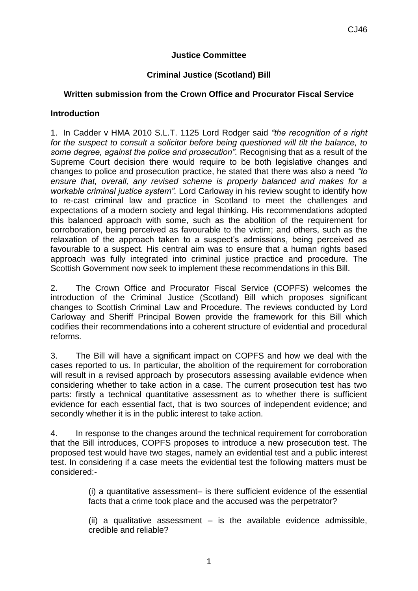### **Justice Committee**

#### **Criminal Justice (Scotland) Bill**

#### **Written submission from the Crown Office and Procurator Fiscal Service**

#### **Introduction**

1. In Cadder v HMA [2010 S.L.T. 1125](http://login.westlaw.co.uk/maf/wluk/app/document?&suppsrguid=ia744cc6300000140ddd3600a6623d597&docguid=ID547EE10EDEC11DF90509C912E233833&hitguid=I20249AA0E14F11DF8642CB1E2AE7F837&rank=1&spos=1&epos=1&td=188&crumb-action=append&context=21&resolvein=true) Lord Rodger said *"the recognition of a right for the suspect to consult a solicitor before being questioned will tilt the balance, to some degree, against the police and prosecution".* Recognising that as a result of the Supreme Court decision there would require to be both legislative changes and changes to police and prosecution practice, he stated that there was also a need *"to ensure that, overall, any revised scheme is properly balanced and makes for a workable criminal justice system".* Lord Carloway in his review sought to identify how to re-cast criminal law and practice in Scotland to meet the challenges and expectations of a modern society and legal thinking. His recommendations adopted this balanced approach with some, such as the abolition of the requirement for corroboration, being perceived as favourable to the victim; and others, such as the relaxation of the approach taken to a suspect's admissions, being perceived as favourable to a suspect. His central aim was to ensure that a human rights based approach was fully integrated into criminal justice practice and procedure. The Scottish Government now seek to implement these recommendations in this Bill.

2. The Crown Office and Procurator Fiscal Service (COPFS) welcomes the introduction of the Criminal Justice (Scotland) Bill which proposes significant changes to Scottish Criminal Law and Procedure. The reviews conducted by Lord Carloway and Sheriff Principal Bowen provide the framework for this Bill which codifies their recommendations into a coherent structure of evidential and procedural reforms.

3. The Bill will have a significant impact on COPFS and how we deal with the cases reported to us. In particular, the abolition of the requirement for corroboration will result in a revised approach by prosecutors assessing available evidence when considering whether to take action in a case. The current prosecution test has two parts: firstly a technical quantitative assessment as to whether there is sufficient evidence for each essential fact, that is two sources of independent evidence; and secondly whether it is in the public interest to take action.

4. In response to the changes around the technical requirement for corroboration that the Bill introduces, COPFS proposes to introduce a new prosecution test. The proposed test would have two stages, namely an evidential test and a public interest test. In considering if a case meets the evidential test the following matters must be considered:-

> (i) a quantitative assessment– is there sufficient evidence of the essential facts that a crime took place and the accused was the perpetrator?

> (ii) a qualitative assessment  $-$  is the available evidence admissible, credible and reliable?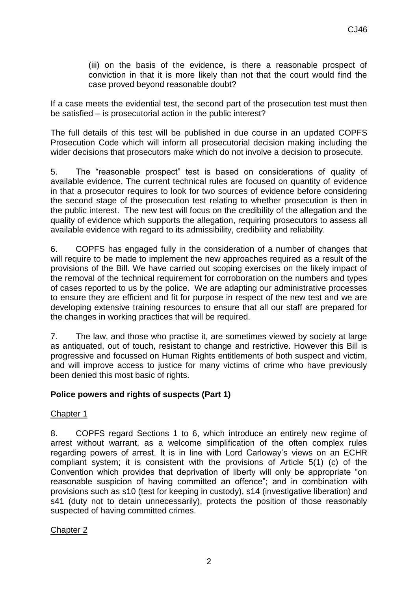(iii) on the basis of the evidence, is there a reasonable prospect of conviction in that it is more likely than not that the court would find the case proved beyond reasonable doubt?

If a case meets the evidential test, the second part of the prosecution test must then be satisfied – is prosecutorial action in the public interest?

The full details of this test will be published in due course in an updated COPFS Prosecution Code which will inform all prosecutorial decision making including the wider decisions that prosecutors make which do not involve a decision to prosecute.

5. The "reasonable prospect" test is based on considerations of quality of available evidence. The current technical rules are focused on quantity of evidence in that a prosecutor requires to look for two sources of evidence before considering the second stage of the prosecution test relating to whether prosecution is then in the public interest. The new test will focus on the credibility of the allegation and the quality of evidence which supports the allegation, requiring prosecutors to assess all available evidence with regard to its admissibility, credibility and reliability.

6. COPFS has engaged fully in the consideration of a number of changes that will require to be made to implement the new approaches required as a result of the provisions of the Bill. We have carried out scoping exercises on the likely impact of the removal of the technical requirement for corroboration on the numbers and types of cases reported to us by the police. We are adapting our administrative processes to ensure they are efficient and fit for purpose in respect of the new test and we are developing extensive training resources to ensure that all our staff are prepared for the changes in working practices that will be required.

7. The law, and those who practise it, are sometimes viewed by society at large as antiquated, out of touch, resistant to change and restrictive. However this Bill is progressive and focussed on Human Rights entitlements of both suspect and victim, and will improve access to justice for many victims of crime who have previously been denied this most basic of rights.

### **Police powers and rights of suspects (Part 1)**

### Chapter 1

8. COPFS regard Sections 1 to 6, which introduce an entirely new regime of arrest without warrant, as a welcome simplification of the often complex rules regarding powers of arrest. It is in line with Lord Carloway's views on an ECHR compliant system; it is consistent with the provisions of Article 5(1) (c) of the Convention which provides that deprivation of liberty will only be appropriate "on reasonable suspicion of having committed an offence"; and in combination with provisions such as s10 (test for keeping in custody), s14 (investigative liberation) and s41 (duty not to detain unnecessarily), protects the position of those reasonably suspected of having committed crimes.

# Chapter 2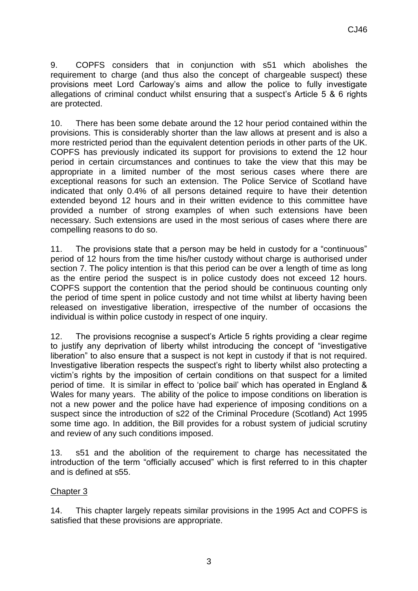9. COPFS considers that in conjunction with s51 which abolishes the requirement to charge (and thus also the concept of chargeable suspect) these provisions meet Lord Carloway's aims and allow the police to fully investigate allegations of criminal conduct whilst ensuring that a suspect's Article 5 & 6 rights are protected.

10. There has been some debate around the 12 hour period contained within the provisions. This is considerably shorter than the law allows at present and is also a more restricted period than the equivalent detention periods in other parts of the UK. COPFS has previously indicated its support for provisions to extend the 12 hour period in certain circumstances and continues to take the view that this may be appropriate in a limited number of the most serious cases where there are exceptional reasons for such an extension. The Police Service of Scotland have indicated that only 0.4% of all persons detained require to have their detention extended beyond 12 hours and in their written evidence to this committee have provided a number of strong examples of when such extensions have been necessary. Such extensions are used in the most serious of cases where there are compelling reasons to do so.

11. The provisions state that a person may be held in custody for a "continuous" period of 12 hours from the time his/her custody without charge is authorised under section 7. The policy intention is that this period can be over a length of time as long as the entire period the suspect is in police custody does not exceed 12 hours. COPFS support the contention that the period should be continuous counting only the period of time spent in police custody and not time whilst at liberty having been released on investigative liberation, irrespective of the number of occasions the individual is within police custody in respect of one inquiry.

12. The provisions recognise a suspect's Article 5 rights providing a clear regime to justify any deprivation of liberty whilst introducing the concept of "investigative liberation" to also ensure that a suspect is not kept in custody if that is not required. Investigative liberation respects the suspect's right to liberty whilst also protecting a victim's rights by the imposition of certain conditions on that suspect for a limited period of time. It is similar in effect to 'police bail' which has operated in England & Wales for many years. The ability of the police to impose conditions on liberation is not a new power and the police have had experience of imposing conditions on a suspect since the introduction of s22 of the Criminal Procedure (Scotland) Act 1995 some time ago. In addition, the Bill provides for a robust system of judicial scrutiny and review of any such conditions imposed.

13. s51 and the abolition of the requirement to charge has necessitated the introduction of the term "officially accused" which is first referred to in this chapter and is defined at s55.

### Chapter 3

14. This chapter largely repeats similar provisions in the 1995 Act and COPFS is satisfied that these provisions are appropriate.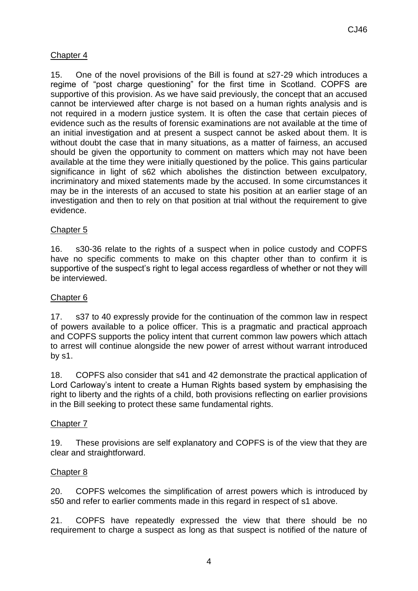## Chapter 4

15. One of the novel provisions of the Bill is found at s27-29 which introduces a regime of "post charge questioning" for the first time in Scotland. COPFS are supportive of this provision. As we have said previously, the concept that an accused cannot be interviewed after charge is not based on a human rights analysis and is not required in a modern justice system. It is often the case that certain pieces of evidence such as the results of forensic examinations are not available at the time of an initial investigation and at present a suspect cannot be asked about them. It is without doubt the case that in many situations, as a matter of fairness, an accused should be given the opportunity to comment on matters which may not have been available at the time they were initially questioned by the police. This gains particular significance in light of s62 which abolishes the distinction between exculpatory, incriminatory and mixed statements made by the accused. In some circumstances it may be in the interests of an accused to state his position at an earlier stage of an investigation and then to rely on that position at trial without the requirement to give evidence.

### Chapter 5

16. s30-36 relate to the rights of a suspect when in police custody and COPFS have no specific comments to make on this chapter other than to confirm it is supportive of the suspect's right to legal access regardless of whether or not they will be interviewed.

### Chapter 6

17. s37 to 40 expressly provide for the continuation of the common law in respect of powers available to a police officer. This is a pragmatic and practical approach and COPFS supports the policy intent that current common law powers which attach to arrest will continue alongside the new power of arrest without warrant introduced by s1.

18. COPFS also consider that s41 and 42 demonstrate the practical application of Lord Carloway's intent to create a Human Rights based system by emphasising the right to liberty and the rights of a child, both provisions reflecting on earlier provisions in the Bill seeking to protect these same fundamental rights.

### Chapter 7

19. These provisions are self explanatory and COPFS is of the view that they are clear and straightforward.

### Chapter 8

20. COPFS welcomes the simplification of arrest powers which is introduced by s50 and refer to earlier comments made in this regard in respect of s1 above.

21. COPFS have repeatedly expressed the view that there should be no requirement to charge a suspect as long as that suspect is notified of the nature of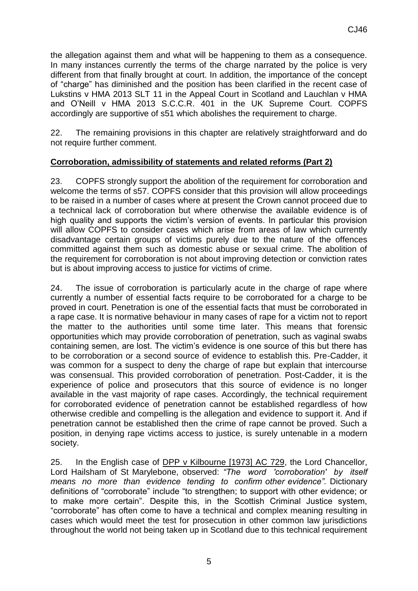the allegation against them and what will be happening to them as a consequence. In many instances currently the terms of the charge narrated by the police is very different from that finally brought at court. In addition, the importance of the concept of "charge" has diminished and the position has been clarified in the recent case of Lukstins v HMA 2013 SLT 11 in the Appeal Court in Scotland and Lauchlan v HMA and O'Neill v HMA 2013 S.C.C.R. 401 in the UK Supreme Court. COPFS accordingly are supportive of s51 which abolishes the requirement to charge.

22. The remaining provisions in this chapter are relatively straightforward and do not require further comment.

### **Corroboration, admissibility of statements and related reforms (Part 2)**

23. COPFS strongly support the abolition of the requirement for corroboration and welcome the terms of s57. COPFS consider that this provision will allow proceedings to be raised in a number of cases where at present the Crown cannot proceed due to a technical lack of corroboration but where otherwise the available evidence is of high quality and supports the victim's version of events. In particular this provision will allow COPFS to consider cases which arise from areas of law which currently disadvantage certain groups of victims purely due to the nature of the offences committed against them such as domestic abuse or sexual crime. The abolition of the requirement for corroboration is not about improving detection or conviction rates but is about improving access to justice for victims of crime.

24. The issue of corroboration is particularly acute in the charge of rape where currently a number of essential facts require to be corroborated for a charge to be proved in court. Penetration is one of the essential facts that must be corroborated in a rape case. It is normative behaviour in many cases of rape for a victim not to report the matter to the authorities until some time later. This means that forensic opportunities which may provide corroboration of penetration, such as vaginal swabs containing semen, are lost. The victim's evidence is one source of this but there has to be corroboration or a second source of evidence to establish this. Pre-Cadder, it was common for a suspect to deny the charge of rape but explain that intercourse was consensual. This provided corroboration of penetration. Post-Cadder, it is the experience of police and prosecutors that this source of evidence is no longer available in the vast majority of rape cases. Accordingly, the technical requirement for corroborated evidence of penetration cannot be established regardless of how otherwise credible and compelling is the allegation and evidence to support it. And if penetration cannot be established then the crime of rape cannot be proved. Such a position, in denying rape victims access to justice, is surely untenable in a modern society.

25. In the English case of DPP v Kilbourne [1973] AC 729, the Lord Chancellor, Lord Hailsham of St Marylebone, observed: *"The word 'corroboration' by itself means no more than evidence tending to confirm other evidence".* Dictionary definitions of "corroborate" include "to strengthen; to support with other evidence; or to make more certain". Despite this, in the Scottish Criminal Justice system, "corroborate" has often come to have a technical and complex meaning resulting in cases which would meet the test for prosecution in other common law jurisdictions throughout the world not being taken up in Scotland due to this technical requirement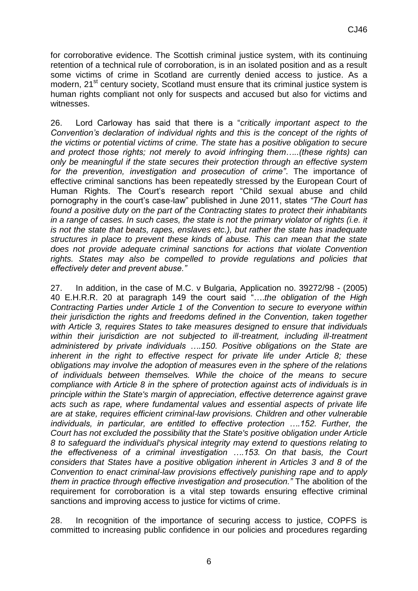for corroborative evidence. The Scottish criminal justice system, with its continuing retention of a technical rule of corroboration, is in an isolated position and as a result some victims of crime in Scotland are currently denied access to justice. As a modern, 21<sup>st</sup> century society, Scotland must ensure that its criminal justice system is human rights compliant not only for suspects and accused but also for victims and witnesses.

26. Lord Carloway has said that there is a "*critically important aspect to the Convention's declaration of individual rights and this is the concept of the rights of the victims or potential victims of crime. The state has a positive obligation to secure and protect those rights; not merely to avoid infringing them…..(these rights) can only be meaningful if the state secures their protection through an effective system for the prevention, investigation and prosecution of crime"*. The importance of effective criminal sanctions has been repeatedly stressed by the European Court of Human Rights. The Court's research report "Child sexual abuse and child pornography in the court's case-law" published in June 2011, states *"The Court has found a positive duty on the part of the Contracting states to protect their inhabitants in a range of cases. In such cases, the state is not the primary violator of rights (i.e. it is not the state that beats, rapes, enslaves etc.), but rather the state has inadequate structures in place to prevent these kinds of abuse. This can mean that the state does not provide adequate criminal sanctions for actions that violate Convention*  rights. States may also be compelled to provide regulations and policies that *effectively deter and prevent abuse."*

27. In addition, in the case of M.C. v Bulgaria, Application no. 39272/98 - (2005) 40 E.H.R.R. 20 at paragraph 149 the court said "….*the obligation of the High Contracting Parties under Article 1 of the Convention to secure to everyone within their jurisdiction the rights and freedoms defined in the Convention, taken together with Article 3, requires States to take measures designed to ensure that individuals*  within their jurisdiction are not subjected to ill-treatment, including ill-treatment *administered by private individuals ….150. Positive obligations on the State are inherent in the right to effective respect for private life under Article 8; these obligations may involve the adoption of measures even in the sphere of the relations of individuals between themselves. While the choice of the means to secure compliance with Article 8 in the sphere of protection against acts of individuals is in principle within the State's margin of appreciation, effective deterrence against grave acts such as rape, where fundamental values and essential aspects of private life are at stake, requires efficient criminal-law provisions. Children and other vulnerable individuals, in particular, are entitled to effective protection ....152. Further, the Court has not excluded the possibility that the State's positive obligation under Article 8 to safeguard the individual's physical integrity may extend to questions relating to the effectiveness of a criminal investigation ….153. On that basis, the Court considers that States have a positive obligation inherent in Articles 3 and 8 of the Convention to enact criminal-law provisions effectively punishing rape and to apply them in practice through effective investigation and prosecution."* The abolition of the requirement for corroboration is a vital step towards ensuring effective criminal sanctions and improving access to justice for victims of crime.

28. In recognition of the importance of securing access to justice, COPFS is committed to increasing public confidence in our policies and procedures regarding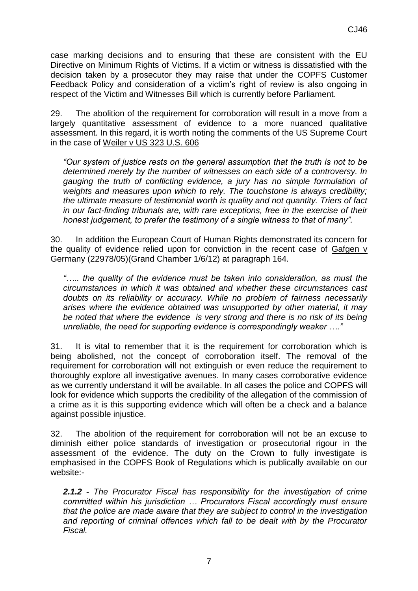case marking decisions and to ensuring that these are consistent with the EU Directive on Minimum Rights of Victims. If a victim or witness is dissatisfied with the decision taken by a prosecutor they may raise that under the COPFS Customer Feedback Policy and consideration of a victim's right of review is also ongoing in respect of the Victim and Witnesses Bill which is currently before Parliament.

29. The abolition of the requirement for corroboration will result in a move from a largely quantitative assessment of evidence to a more nuanced qualitative assessment. In this regard, it is worth noting the comments of the US Supreme Court in the case of Weiler v US 323 U.S. 606

*"Our system of justice rests on the general assumption that the truth is not to be determined merely by the number of witnesses on each side of a controversy. In gauging the truth of conflicting evidence, a jury has no simple formulation of weights and measures upon which to rely. The touchstone is always credibility; the ultimate measure of testimonial worth is quality and not quantity. Triers of fact in our fact-finding tribunals are, with rare exceptions, free in the exercise of their honest judgement, to prefer the testimony of a single witness to that of many".* 

30. In addition the European Court of Human Rights demonstrated its concern for the quality of evidence relied upon for conviction in the recent case of Gafgen v Germany (22978/05)(Grand Chamber 1/6/12) at paragraph 164*.*

*"….. the quality of the evidence must be taken into consideration, as must the circumstances in which it was obtained and whether these circumstances cast doubts on its reliability or accuracy. While no problem of fairness necessarily arises where the evidence obtained was unsupported by other material, it may be noted that where the evidence is very strong and there is no risk of its being unreliable, the need for supporting evidence is correspondingly weaker …."*

31. It is vital to remember that it is the requirement for corroboration which is being abolished, not the concept of corroboration itself. The removal of the requirement for corroboration will not extinguish or even reduce the requirement to thoroughly explore all investigative avenues. In many cases corroborative evidence as we currently understand it will be available. In all cases the police and COPFS will look for evidence which supports the credibility of the allegation of the commission of a crime as it is this supporting evidence which will often be a check and a balance against possible injustice.

32. The abolition of the requirement for corroboration will not be an excuse to diminish either police standards of investigation or prosecutorial rigour in the assessment of the evidence. The duty on the Crown to fully investigate is emphasised in the COPFS Book of Regulations which is publically available on our website:-

*2.1.2 - The Procurator Fiscal has responsibility for the investigation of crime committed within his jurisdiction … Procurators Fiscal accordingly must ensure that the police are made aware that they are subject to control in the investigation and reporting of criminal offences which fall to be dealt with by the Procurator Fiscal.*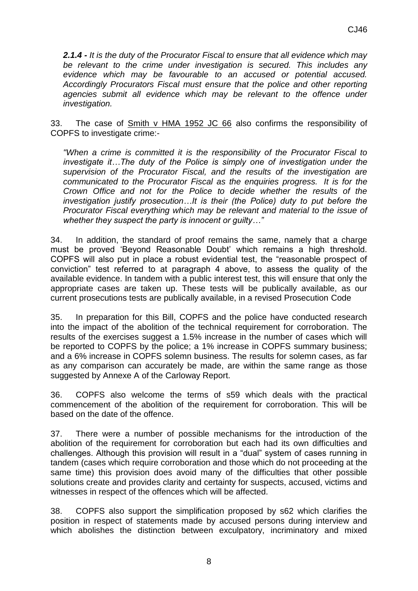*2.1.4 - It is the duty of the Procurator Fiscal to ensure that all evidence which may be relevant to the crime under investigation is secured. This includes any evidence which may be favourable to an accused or potential accused. Accordingly Procurators Fiscal must ensure that the police and other reporting agencies submit all evidence which may be relevant to the offence under investigation.* 

33. The case of Smith v HMA 1952 JC 66 also confirms the responsibility of COPFS to investigate crime:-

*"When a crime is committed it is the responsibility of the Procurator Fiscal to investigate it...The duty of the Police is simply one of investigation under the supervision of the Procurator Fiscal, and the results of the investigation are communicated to the Procurator Fiscal as the enquiries progress. It is for the Crown Office and not for the Police to decide whether the results of the investigation justify prosecution…It is their (the Police) duty to put before the Procurator Fiscal everything which may be relevant and material to the issue of whether they suspect the party is innocent or guilty…"* 

34. In addition, the standard of proof remains the same, namely that a charge must be proved 'Beyond Reasonable Doubt' which remains a high threshold. COPFS will also put in place a robust evidential test, the "reasonable prospect of conviction" test referred to at paragraph 4 above, to assess the quality of the available evidence. In tandem with a public interest test, this will ensure that only the appropriate cases are taken up. These tests will be publically available, as our current prosecutions tests are publically available, in a revised Prosecution Code

35. In preparation for this Bill, COPFS and the police have conducted research into the impact of the abolition of the technical requirement for corroboration. The results of the exercises suggest a 1.5% increase in the number of cases which will be reported to COPFS by the police; a 1% increase in COPFS summary business; and a 6% increase in COPFS solemn business. The results for solemn cases, as far as any comparison can accurately be made, are within the same range as those suggested by Annexe A of the Carloway Report.

36. COPFS also welcome the terms of s59 which deals with the practical commencement of the abolition of the requirement for corroboration. This will be based on the date of the offence.

37. There were a number of possible mechanisms for the introduction of the abolition of the requirement for corroboration but each had its own difficulties and challenges. Although this provision will result in a "dual" system of cases running in tandem (cases which require corroboration and those which do not proceeding at the same time) this provision does avoid many of the difficulties that other possible solutions create and provides clarity and certainty for suspects, accused, victims and witnesses in respect of the offences which will be affected.

38. COPFS also support the simplification proposed by s62 which clarifies the position in respect of statements made by accused persons during interview and which abolishes the distinction between exculpatory, incriminatory and mixed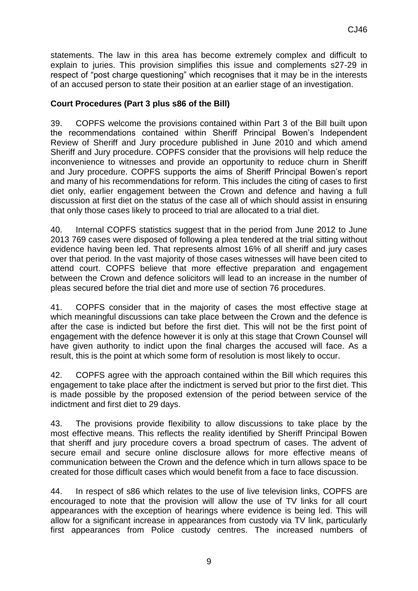statements. The law in this area has become extremely complex and difficult to explain to juries. This provision simplifies this issue and complements s27-29 in respect of "post charge questioning" which recognises that it may be in the interests of an accused person to state their position at an earlier stage of an investigation.

#### **Court Procedures (Part 3 plus s86 of the Bill)**

39. COPFS welcome the provisions contained within Part 3 of the Bill built upon the recommendations contained within Sheriff Principal Bowen's Independent Review of Sheriff and Jury procedure published in June 2010 and which amend Sheriff and Jury procedure. COPFS consider that the provisions will help reduce the inconvenience to witnesses and provide an opportunity to reduce churn in Sheriff and Jury procedure. COPFS supports the aims of Sheriff Principal Bowen's report and many of his recommendations for reform. This includes the citing of cases to first diet only, earlier engagement between the Crown and defence and having a full discussion at first diet on the status of the case all of which should assist in ensuring that only those cases likely to proceed to trial are allocated to a trial diet.

40. Internal COPFS statistics suggest that in the period from June 2012 to June 2013 769 cases were disposed of following a plea tendered at the trial sitting without evidence having been led. That represents almost 16% of all sheriff and jury cases over that period. In the vast majority of those cases witnesses will have been cited to attend court. COPFS believe that more effective preparation and engagement between the Crown and defence solicitors will lead to an increase in the number of pleas secured before the trial diet and more use of section 76 procedures.

41. COPFS consider that in the majority of cases the most effective stage at which meaningful discussions can take place between the Crown and the defence is after the case is indicted but before the first diet. This will not be the first point of engagement with the defence however it is only at this stage that Crown Counsel will have given authority to indict upon the final charges the accused will face. As a result, this is the point at which some form of resolution is most likely to occur.

42. COPFS agree with the approach contained within the Bill which requires this engagement to take place after the indictment is served but prior to the first diet. This is made possible by the proposed extension of the period between service of the indictment and first diet to 29 days.

43. The provisions provide flexibility to allow discussions to take place by the most effective means. This reflects the reality identified by Sheriff Principal Bowen that sheriff and jury procedure covers a broad spectrum of cases. The advent of secure email and secure online disclosure allows for more effective means of communication between the Crown and the defence which in turn allows space to be created for those difficult cases which would benefit from a face to face discussion.

44. In respect of s86 which relates to the use of live television links, COPFS are encouraged to note that the provision will allow the use of TV links for all court appearances with the exception of hearings where evidence is being led. This will allow for a significant increase in appearances from custody via TV link, particularly first appearances from Police custody centres. The increased numbers of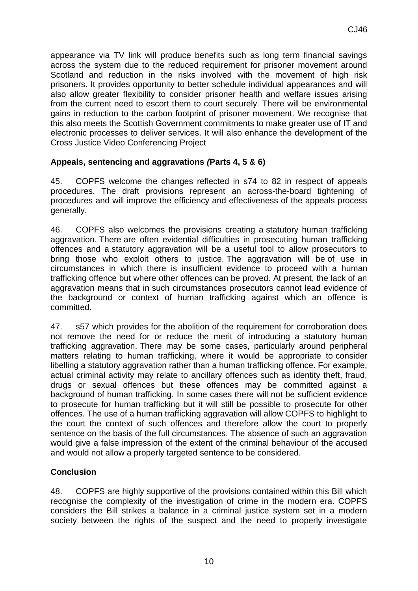appearance via TV link will produce benefits such as long term financial savings across the system due to the reduced requirement for prisoner movement around Scotland and reduction in the risks involved with the movement of high risk prisoners. It provides opportunity to better schedule individual appearances and will also allow greater flexibility to consider prisoner health and welfare issues arising from the current need to escort them to court securely. There will be environmental gains in reduction to the carbon footprint of prisoner movement. We recognise that this also meets the Scottish Government commitments to make greater use of IT and electronic processes to deliver services. It will also enhance the development of the Cross Justice Video Conferencing Project

### **Appeals, sentencing and aggravations** *(***Parts 4, 5 & 6)**

45. COPFS welcome the changes reflected in s74 to 82 in respect of appeals procedures. The draft provisions represent an across-the-board tightening of procedures and will improve the efficiency and effectiveness of the appeals process generally.

46. COPFS also welcomes the provisions creating a statutory human trafficking aggravation. There are often evidential difficulties in prosecuting human trafficking offences and a statutory aggravation will be a useful tool to allow prosecutors to bring those who exploit others to justice. The aggravation will be of use in circumstances in which there is insufficient evidence to proceed with a human trafficking offence but where other offences can be proved. At present, the lack of an aggravation means that in such circumstances prosecutors cannot lead evidence of the background or context of human trafficking against which an offence is committed.

47. s57 which provides for the abolition of the requirement for corroboration does not remove the need for or reduce the merit of introducing a statutory human trafficking aggravation. There may be some cases, particularly around peripheral matters relating to human trafficking, where it would be appropriate to consider libelling a statutory aggravation rather than a human trafficking offence. For example, actual criminal activity may relate to ancillary offences such as identity theft, fraud, drugs or sexual offences but these offences may be committed against a background of human trafficking. In some cases there will not be sufficient evidence to prosecute for human trafficking but it will still be possible to prosecute for other offences. The use of a human trafficking aggravation will allow COPFS to highlight to the court the context of such offences and therefore allow the court to properly sentence on the basis of the full circumstances. The absence of such an aggravation would give a false impression of the extent of the criminal behaviour of the accused and would not allow a properly targeted sentence to be considered.

# **Conclusion**

48. COPFS are highly supportive of the provisions contained within this Bill which recognise the complexity of the investigation of crime in the modern era. COPFS considers the Bill strikes a balance in a criminal justice system set in a modern society between the rights of the suspect and the need to properly investigate